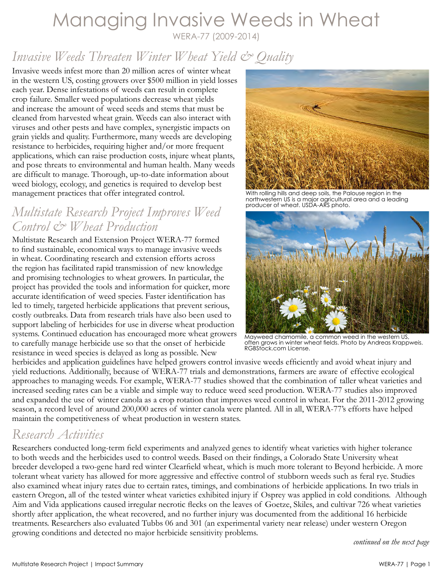# Managing Invasive Weeds in Wheat

WERA-77 (2009-2014)

## *Invasive Weeds Threaten Winter Wheat Yield & Quality*

Invasive weeds infest more than 20 million acres of winter wheat in the western US, costing growers over \$500 million in yield losses each year. Dense infestations of weeds can result in complete crop failure. Smaller weed populations decrease wheat yields and increase the amount of weed seeds and stems that must be cleaned from harvested wheat grain. Weeds can also interact with viruses and other pests and have complex, synergistic impacts on grain yields and quality. Furthermore, many weeds are developing resistance to herbicides, requiring higher and/or more frequent applications, which can raise production costs, injure wheat plants, and pose threats to environmental and human health. Many weeds are difficult to manage. Thorough, up-to-date information about weed biology, ecology, and genetics is required to develop best management practices that offer integrated control.

### *Multistate Research Project Improves Weed Control & Wheat Production*

Multistate Research and Extension Project WERA-77 formed to find sustainable, economical ways to manage invasive weeds in wheat. Coordinating research and extension efforts across the region has facilitated rapid transmission of new knowledge and promising technologies to wheat growers. In particular, the project has provided the tools and information for quicker, more accurate identification of weed species. Faster identification has led to timely, targeted herbicide applications that prevent serious, costly outbreaks. Data from research trials have also been used to support labeling of herbicides for use in diverse wheat production systems. Continued education has encouraged more wheat growers to carefully manage herbicide use so that the onset of herbicide resistance in weed species is delayed as long as possible. New



With rolling hills and deep soils, the Palouse region in the northwestern US is a major agricultural area and a leading producer of wheat. USDA-ARS photo.



Mayweed chamomile, a common weed in the western US, often grows in winter wheat fields. Photo by Andreas Krappweis. [RGBStock.com License.](http://www.rgbstock.com/license)

herbicides and application guidelines have helped growers control invasive weeds efficiently and avoid wheat injury and yield reductions. Additionally, because of WERA-77 trials and demonstrations, farmers are aware of effective ecological approaches to managing weeds. For example, WERA-77 studies showed that the combination of taller wheat varieties and increased seeding rates can be a viable and simple way to reduce weed seed production. WERA-77 studies also improved and expanded the use of winter canola as a crop rotation that improves weed control in wheat. For the 2011-2012 growing season, a record level of around 200,000 acres of winter canola were planted. All in all, WERA-77's efforts have helped maintain the competitiveness of wheat production in western states.

### *Research Activities*

Researchers conducted long-term field experiments and analyzed genes to identify wheat varieties with higher tolerance to both weeds and the herbicides used to control weeds. Based on their findings, a Colorado State University wheat breeder developed a two-gene hard red winter Clearfield wheat, which is much more tolerant to Beyond herbicide. A more tolerant wheat variety has allowed for more aggressive and effective control of stubborn weeds such as feral rye. Studies also examined wheat injury rates due to certain rates, timings, and combinations of herbicide applications. In two trials in eastern Oregon, all of the tested winter wheat varieties exhibited injury if Osprey was applied in cold conditions. Although Aim and Vida applications caused irregular necrotic flecks on the leaves of Goetze, Skiles, and cultivar 726 wheat varieties shortly after application, the wheat recovered, and no further injury was documented from the additional 16 herbicide treatments. Researchers also evaluated Tubbs 06 and 301 (an experimental variety near release) under western Oregon growing conditions and detected no major herbicide sensitivity problems.

*continued on the next page*